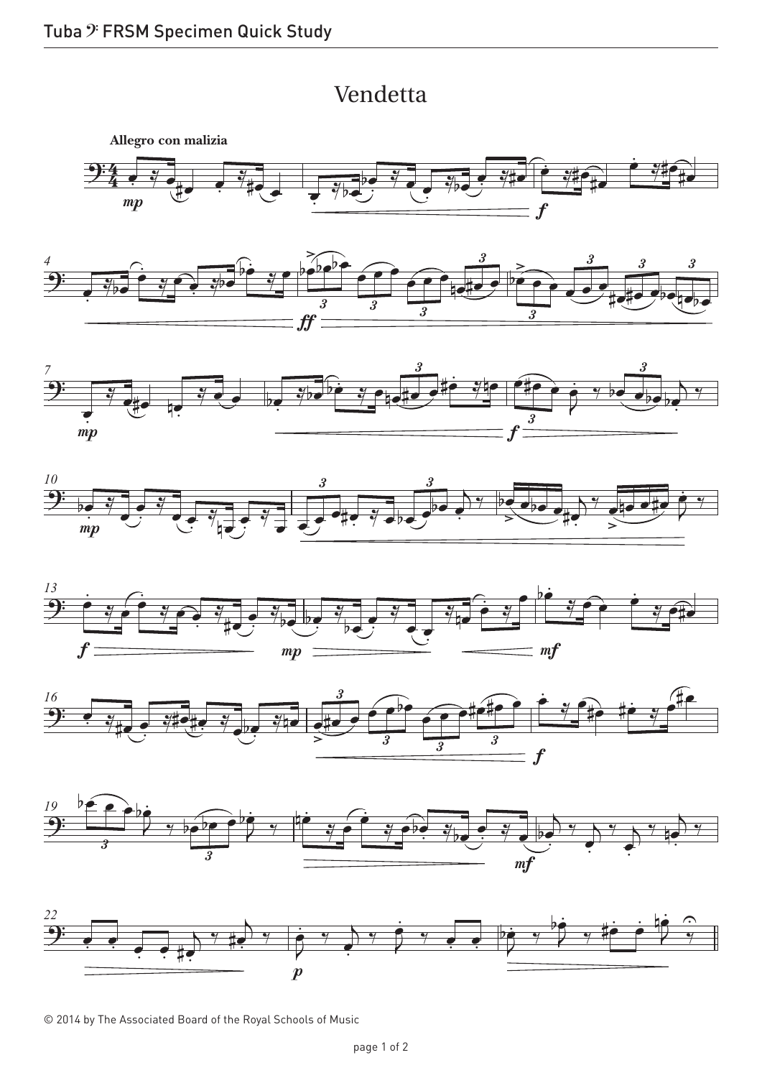## Vendetta Vendetta













© 2014 by The Associated Board of the Royal Schools of Music